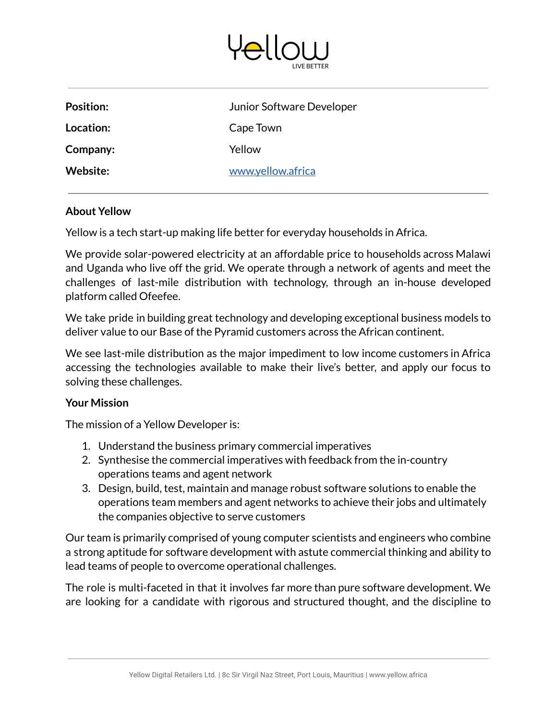

| <b>Position:</b> | Junior Software Developer |
|------------------|---------------------------|
| Location:        | Cape Town                 |
| Company:         | Yellow                    |
| Website:         | www.yellow.africa         |
|                  |                           |

## **About Yellow**

Yellow is a tech start-up making life better for everyday households in Africa.

We provide solar-powered electricity at an affordable price to households across Malawi and Uganda who live off the grid. We operate through a network of agents and meet the challenges of last-mile distribution with technology, through an in-house developed platform called Ofeefee.

We take pride in building great technology and developing exceptional business models to deliver value to our Base of the Pyramid customers across the African continent.

We see last-mile distribution as the major impediment to low income customers in Africa accessing the technologies available to make their live's better, and apply our focus to solving these challenges.

## **Your Mission**

The mission of a Yellow Developer is:

- 1. Understand the business primary commercial imperatives
- 2. Synthesise the commercial imperatives with feedback from the in-country operations teams and agent network
- 3. Design, build, test, maintain and manage robust software solutions to enable the operations team members and agent networks to achieve their jobs and ultimately the companies objective to serve customers

Our team is primarily comprised of young computer scientists and engineers who combine a strong aptitude for software development with astute commercial thinking and ability to lead teams of people to overcome operational challenges.

The role is multi-faceted in that it involves far more than pure software development. We are looking for a candidate with rigorous and structured thought, and the discipline to